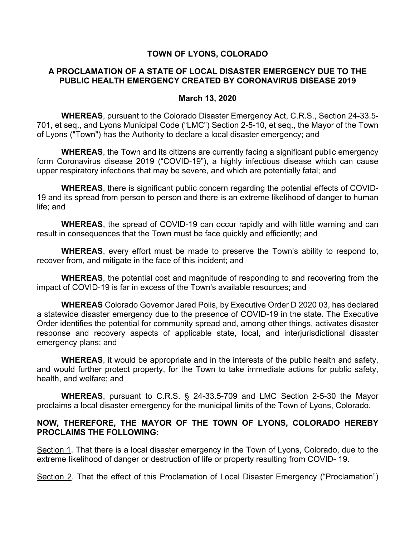## **TOWN OF LYONS, COLORADO**

## **A PROCLAMATION OF A STATE OF LOCAL DISASTER EMERGENCY DUE TO THE PUBLIC HEALTH EMERGENCY CREATED BY CORONAVIRUS DISEASE 2019**

## **March 13, 2020**

**WHEREAS**, pursuant to the Colorado Disaster Emergency Act, C.R.S., Section 24-33.5- 701, et seq., and Lyons Municipal Code ("LMC") Section 2-5-10, et seq., the Mayor of the Town of Lyons ("Town") has the Authority to declare a local disaster emergency; and

**WHEREAS**, the Town and its citizens are currently facing a significant public emergency form Coronavirus disease 2019 ("COVID-19"), a highly infectious disease which can cause upper respiratory infections that may be severe, and which are potentially fatal; and

**WHEREAS**, there is significant public concern regarding the potential effects of COVID-19 and its spread from person to person and there is an extreme likelihood of danger to human life; and

**WHEREAS**, the spread of COVID-19 can occur rapidly and with little warning and can result in consequences that the Town must be face quickly and efficiently; and

**WHEREAS**, every effort must be made to preserve the Town's ability to respond to, recover from, and mitigate in the face of this incident; and

**WHEREAS**, the potential cost and magnitude of responding to and recovering from the impact of COVID-19 is far in excess of the Town's available resources; and

**WHEREAS** Colorado Governor Jared Polis, by Executive Order D 2020 03, has declared a statewide disaster emergency due to the presence of COVID-19 in the state. The Executive Order identifies the potential for community spread and, among other things, activates disaster response and recovery aspects of applicable state, local, and interjurisdictional disaster emergency plans; and

**WHEREAS**, it would be appropriate and in the interests of the public health and safety, and would further protect property, for the Town to take immediate actions for public safety, health, and welfare; and

**WHEREAS**, pursuant to C.R.S. § 24-33.5-709 and LMC Section 2-5-30 the Mayor proclaims a local disaster emergency for the municipal limits of the Town of Lyons, Colorado.

## **NOW, THEREFORE, THE MAYOR OF THE TOWN OF LYONS, COLORADO HEREBY PROCLAIMS THE FOLLOWING:**

Section 1. That there is a local disaster emergency in the Town of Lyons, Colorado, due to the extreme likelihood of danger or destruction of life or property resulting from COVID- 19.

Section 2. That the effect of this Proclamation of Local Disaster Emergency ("Proclamation")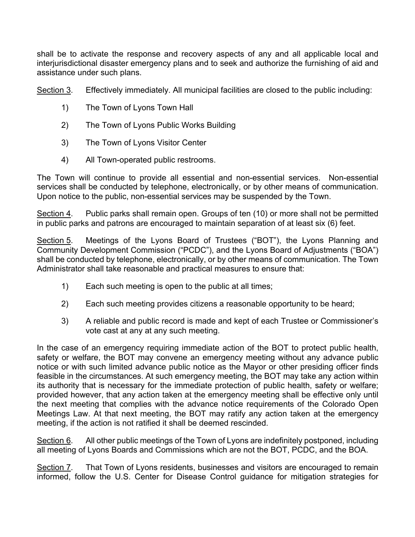shall be to activate the response and recovery aspects of any and all applicable local and interjurisdictional disaster emergency plans and to seek and authorize the furnishing of aid and assistance under such plans.

Section 3. Effectively immediately. All municipal facilities are closed to the public including:

- 1) The Town of Lyons Town Hall
- 2) The Town of Lyons Public Works Building
- 3) The Town of Lyons Visitor Center
- 4) All Town-operated public restrooms.

The Town will continue to provide all essential and non-essential services. Non-essential services shall be conducted by telephone, electronically, or by other means of communication. Upon notice to the public, non-essential services may be suspended by the Town.

Section 4. Public parks shall remain open. Groups of ten (10) or more shall not be permitted in public parks and patrons are encouraged to maintain separation of at least six (6) feet.

Section 5. Meetings of the Lyons Board of Trustees ("BOT"), the Lyons Planning and Community Development Commission ("PCDC"), and the Lyons Board of Adjustments ("BOA") shall be conducted by telephone, electronically, or by other means of communication. The Town Administrator shall take reasonable and practical measures to ensure that:

- 1) Each such meeting is open to the public at all times;
- 2) Each such meeting provides citizens a reasonable opportunity to be heard;
- 3) A reliable and public record is made and kept of each Trustee or Commissioner's vote cast at any at any such meeting.

In the case of an emergency requiring immediate action of the BOT to protect public health, safety or welfare, the BOT may convene an emergency meeting without any advance public notice or with such limited advance public notice as the Mayor or other presiding officer finds feasible in the circumstances. At such emergency meeting, the BOT may take any action within its authority that is necessary for the immediate protection of public health, safety or welfare; provided however, that any action taken at the emergency meeting shall be effective only until the next meeting that complies with the advance notice requirements of the Colorado Open Meetings Law. At that next meeting, the BOT may ratify any action taken at the emergency meeting, if the action is not ratified it shall be deemed rescinded.

Section 6. All other public meetings of the Town of Lyons are indefinitely postponed, including all meeting of Lyons Boards and Commissions which are not the BOT, PCDC, and the BOA.

Section 7. That Town of Lyons residents, businesses and visitors are encouraged to remain informed, follow the U.S. Center for Disease Control guidance for mitigation strategies for